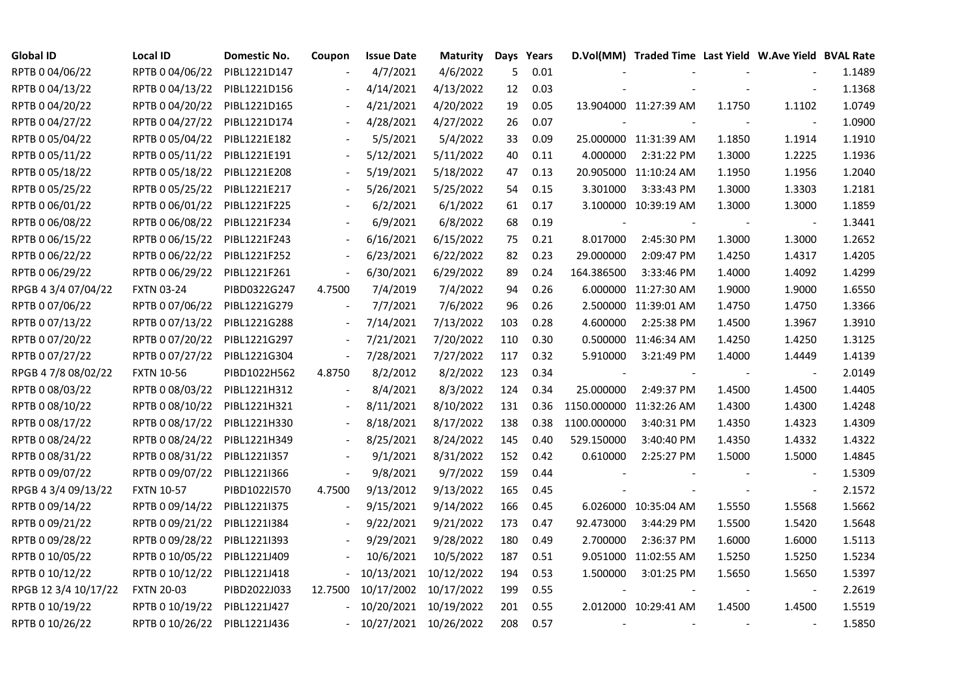| <b>Global ID</b>     | <b>Local ID</b>   | Domestic No. | Coupon                   | <b>Issue Date</b>     | <b>Maturity</b>       |     | Days Years |                         | D.Vol(MM) Traded Time Last Yield W.Ave Yield BVAL Rate |        |                |        |
|----------------------|-------------------|--------------|--------------------------|-----------------------|-----------------------|-----|------------|-------------------------|--------------------------------------------------------|--------|----------------|--------|
| RPTB 0 04/06/22      | RPTB 0 04/06/22   | PIBL1221D147 |                          | 4/7/2021              | 4/6/2022              | 5   | 0.01       |                         |                                                        |        |                | 1.1489 |
| RPTB 0 04/13/22      | RPTB 0 04/13/22   | PIBL1221D156 |                          | 4/14/2021             | 4/13/2022             | 12  | 0.03       |                         |                                                        |        |                | 1.1368 |
| RPTB 0 04/20/22      | RPTB 0 04/20/22   | PIBL1221D165 |                          | 4/21/2021             | 4/20/2022             | 19  | 0.05       |                         | 13.904000 11:27:39 AM                                  | 1.1750 | 1.1102         | 1.0749 |
| RPTB 0 04/27/22      | RPTB 0 04/27/22   | PIBL1221D174 | $\overline{\phantom{a}}$ | 4/28/2021             | 4/27/2022             | 26  | 0.07       |                         |                                                        |        |                | 1.0900 |
| RPTB 0 05/04/22      | RPTB 0 05/04/22   | PIBL1221E182 |                          | 5/5/2021              | 5/4/2022              | 33  | 0.09       |                         | 25.000000 11:31:39 AM                                  | 1.1850 | 1.1914         | 1.1910 |
| RPTB 0 05/11/22      | RPTB 0 05/11/22   | PIBL1221E191 |                          | 5/12/2021             | 5/11/2022             | 40  | 0.11       | 4.000000                | 2:31:22 PM                                             | 1.3000 | 1.2225         | 1.1936 |
| RPTB 0 05/18/22      | RPTB 0 05/18/22   | PIBL1221E208 |                          | 5/19/2021             | 5/18/2022             | 47  | 0.13       |                         | 20.905000 11:10:24 AM                                  | 1.1950 | 1.1956         | 1.2040 |
| RPTB 0 05/25/22      | RPTB 0 05/25/22   | PIBL1221E217 |                          | 5/26/2021             | 5/25/2022             | 54  | 0.15       | 3.301000                | 3:33:43 PM                                             | 1.3000 | 1.3303         | 1.2181 |
| RPTB 0 06/01/22      | RPTB 0 06/01/22   | PIBL1221F225 |                          | 6/2/2021              | 6/1/2022              | 61  | 0.17       |                         | 3.100000 10:39:19 AM                                   | 1.3000 | 1.3000         | 1.1859 |
| RPTB 0 06/08/22      | RPTB 0 06/08/22   | PIBL1221F234 |                          | 6/9/2021              | 6/8/2022              | 68  | 0.19       |                         |                                                        |        |                | 1.3441 |
| RPTB 0 06/15/22      | RPTB 0 06/15/22   | PIBL1221F243 | $\blacksquare$           | 6/16/2021             | 6/15/2022             | 75  | 0.21       | 8.017000                | 2:45:30 PM                                             | 1.3000 | 1.3000         | 1.2652 |
| RPTB 0 06/22/22      | RPTB 0 06/22/22   | PIBL1221F252 | $\frac{1}{2}$            | 6/23/2021             | 6/22/2022             | 82  | 0.23       | 29.000000               | 2:09:47 PM                                             | 1.4250 | 1.4317         | 1.4205 |
| RPTB 0 06/29/22      | RPTB 0 06/29/22   | PIBL1221F261 | $\frac{1}{2}$            | 6/30/2021             | 6/29/2022             | 89  | 0.24       | 164.386500              | 3:33:46 PM                                             | 1.4000 | 1.4092         | 1.4299 |
| RPGB 4 3/4 07/04/22  | <b>FXTN 03-24</b> | PIBD0322G247 | 4.7500                   | 7/4/2019              | 7/4/2022              | 94  | 0.26       |                         | 6.000000 11:27:30 AM                                   | 1.9000 | 1.9000         | 1.6550 |
| RPTB 0 07/06/22      | RPTB 0 07/06/22   | PIBL1221G279 |                          | 7/7/2021              | 7/6/2022              | 96  | 0.26       |                         | 2.500000 11:39:01 AM                                   | 1.4750 | 1.4750         | 1.3366 |
| RPTB 0 07/13/22      | RPTB 0 07/13/22   | PIBL1221G288 |                          | 7/14/2021             | 7/13/2022             | 103 | 0.28       | 4.600000                | 2:25:38 PM                                             | 1.4500 | 1.3967         | 1.3910 |
| RPTB 0 07/20/22      | RPTB 0 07/20/22   | PIBL1221G297 | $\overline{\phantom{a}}$ | 7/21/2021             | 7/20/2022             | 110 | 0.30       |                         | 0.500000 11:46:34 AM                                   | 1.4250 | 1.4250         | 1.3125 |
| RPTB 0 07/27/22      | RPTB 0 07/27/22   | PIBL1221G304 | $\blacksquare$           | 7/28/2021             | 7/27/2022             | 117 | 0.32       | 5.910000                | 3:21:49 PM                                             | 1.4000 | 1.4449         | 1.4139 |
| RPGB 4 7/8 08/02/22  | <b>FXTN 10-56</b> | PIBD1022H562 | 4.8750                   | 8/2/2012              | 8/2/2022              | 123 | 0.34       |                         |                                                        |        |                | 2.0149 |
| RPTB 0 08/03/22      | RPTB 0 08/03/22   | PIBL1221H312 |                          | 8/4/2021              | 8/3/2022              | 124 | 0.34       | 25.000000               | 2:49:37 PM                                             | 1.4500 | 1.4500         | 1.4405 |
| RPTB 0 08/10/22      | RPTB 0 08/10/22   | PIBL1221H321 | $\overline{\phantom{a}}$ | 8/11/2021             | 8/10/2022             | 131 | 0.36       | 1150.000000 11:32:26 AM |                                                        | 1.4300 | 1.4300         | 1.4248 |
| RPTB 0 08/17/22      | RPTB 0 08/17/22   | PIBL1221H330 |                          | 8/18/2021             | 8/17/2022             | 138 | 0.38       | 1100.000000             | 3:40:31 PM                                             | 1.4350 | 1.4323         | 1.4309 |
| RPTB 0 08/24/22      | RPTB 0 08/24/22   | PIBL1221H349 |                          | 8/25/2021             | 8/24/2022             | 145 | 0.40       | 529.150000              | 3:40:40 PM                                             | 1.4350 | 1.4332         | 1.4322 |
| RPTB 0 08/31/22      | RPTB 0 08/31/22   | PIBL1221I357 | $\overline{\phantom{a}}$ | 9/1/2021              | 8/31/2022             | 152 | 0.42       | 0.610000                | 2:25:27 PM                                             | 1.5000 | 1.5000         | 1.4845 |
| RPTB 0 09/07/22      | RPTB 0 09/07/22   | PIBL1221I366 | $\blacksquare$           | 9/8/2021              | 9/7/2022              | 159 | 0.44       |                         |                                                        |        |                | 1.5309 |
| RPGB 4 3/4 09/13/22  | <b>FXTN 10-57</b> | PIBD1022I570 | 4.7500                   | 9/13/2012             | 9/13/2022             | 165 | 0.45       |                         |                                                        |        | $\blacksquare$ | 2.1572 |
| RPTB 0 09/14/22      | RPTB 0 09/14/22   | PIBL1221I375 |                          | 9/15/2021             | 9/14/2022             | 166 | 0.45       |                         | 6.026000 10:35:04 AM                                   | 1.5550 | 1.5568         | 1.5662 |
| RPTB 0 09/21/22      | RPTB 0 09/21/22   | PIBL1221I384 |                          | 9/22/2021             | 9/21/2022             | 173 | 0.47       | 92.473000               | 3:44:29 PM                                             | 1.5500 | 1.5420         | 1.5648 |
| RPTB 0 09/28/22      | RPTB 0 09/28/22   | PIBL1221I393 |                          | 9/29/2021             | 9/28/2022             | 180 | 0.49       | 2.700000                | 2:36:37 PM                                             | 1.6000 | 1.6000         | 1.5113 |
| RPTB 0 10/05/22      | RPTB 0 10/05/22   | PIBL1221J409 |                          | 10/6/2021             | 10/5/2022             | 187 | 0.51       |                         | 9.051000 11:02:55 AM                                   | 1.5250 | 1.5250         | 1.5234 |
| RPTB 0 10/12/22      | RPTB 0 10/12/22   | PIBL1221J418 |                          | 10/13/2021            | 10/12/2022            | 194 | 0.53       | 1.500000                | 3:01:25 PM                                             | 1.5650 | 1.5650         | 1.5397 |
| RPGB 12 3/4 10/17/22 | <b>FXTN 20-03</b> | PIBD2022J033 | 12.7500                  |                       | 10/17/2002 10/17/2022 | 199 | 0.55       |                         |                                                        |        |                | 2.2619 |
| RPTB 0 10/19/22      | RPTB 0 10/19/22   | PIBL1221J427 |                          | 10/20/2021            | 10/19/2022            | 201 | 0.55       |                         | 2.012000 10:29:41 AM                                   | 1.4500 | 1.4500         | 1.5519 |
| RPTB 0 10/26/22      | RPTB 0 10/26/22   | PIBL1221J436 |                          | 10/27/2021 10/26/2022 |                       | 208 | 0.57       |                         |                                                        |        |                | 1.5850 |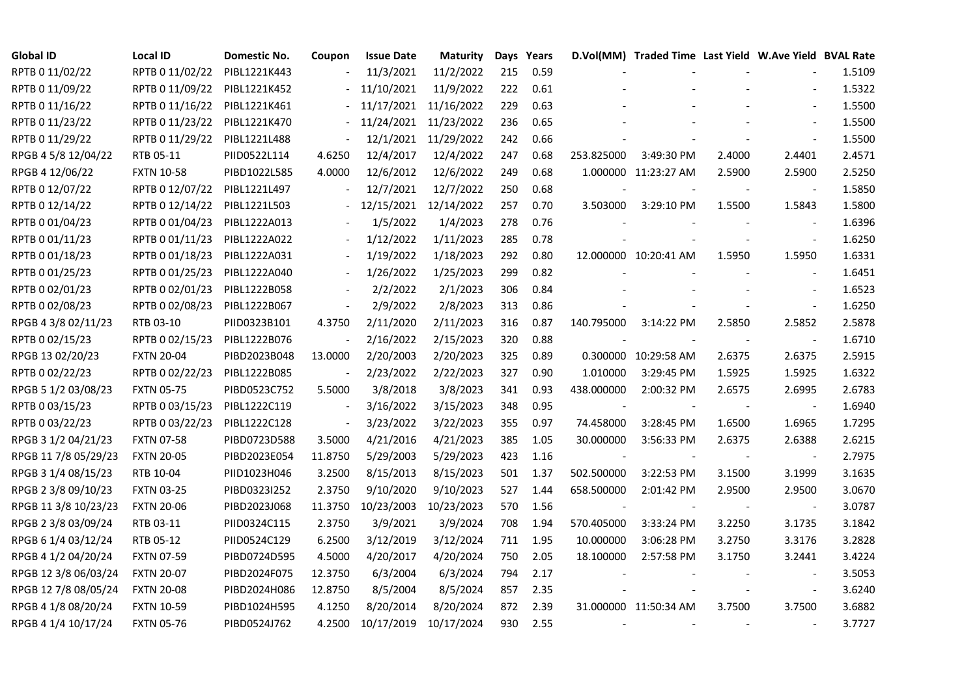| <b>Global ID</b>     | <b>Local ID</b>   | Domestic No. | Coupon                   | <b>Issue Date</b> | <b>Maturity</b>       |     | Days Years |                | D.Vol(MM) Traded Time Last Yield W.Ave Yield BVAL Rate |        |                          |        |
|----------------------|-------------------|--------------|--------------------------|-------------------|-----------------------|-----|------------|----------------|--------------------------------------------------------|--------|--------------------------|--------|
| RPTB 0 11/02/22      | RPTB 0 11/02/22   | PIBL1221K443 |                          | 11/3/2021         | 11/2/2022             | 215 | 0.59       |                |                                                        |        |                          | 1.5109 |
| RPTB 0 11/09/22      | RPTB 0 11/09/22   | PIBL1221K452 |                          | 11/10/2021        | 11/9/2022             | 222 | 0.61       |                |                                                        |        |                          | 1.5322 |
| RPTB 0 11/16/22      | RPTB 0 11/16/22   | PIBL1221K461 |                          |                   | 11/17/2021 11/16/2022 | 229 | 0.63       |                |                                                        |        |                          | 1.5500 |
| RPTB 0 11/23/22      | RPTB 0 11/23/22   | PIBL1221K470 | $\overline{\phantom{0}}$ |                   | 11/24/2021 11/23/2022 | 236 | 0.65       |                |                                                        |        | $\blacksquare$           | 1.5500 |
| RPTB 0 11/29/22      | RPTB 0 11/29/22   | PIBL1221L488 | $\blacksquare$           |                   | 12/1/2021 11/29/2022  | 242 | 0.66       |                |                                                        |        | $\blacksquare$           | 1.5500 |
| RPGB 4 5/8 12/04/22  | RTB 05-11         | PIID0522L114 | 4.6250                   | 12/4/2017         | 12/4/2022             | 247 | 0.68       | 253.825000     | 3:49:30 PM                                             | 2.4000 | 2.4401                   | 2.4571 |
| RPGB 4 12/06/22      | <b>FXTN 10-58</b> | PIBD1022L585 | 4.0000                   | 12/6/2012         | 12/6/2022             | 249 | 0.68       |                | 1.000000 11:23:27 AM                                   | 2.5900 | 2.5900                   | 2.5250 |
| RPTB 0 12/07/22      | RPTB 0 12/07/22   | PIBL1221L497 |                          | 12/7/2021         | 12/7/2022             | 250 | 0.68       |                |                                                        |        |                          | 1.5850 |
| RPTB 0 12/14/22      | RPTB 0 12/14/22   | PIBL1221L503 |                          | 12/15/2021        | 12/14/2022            | 257 | 0.70       | 3.503000       | 3:29:10 PM                                             | 1.5500 | 1.5843                   | 1.5800 |
| RPTB 0 01/04/23      | RPTB 0 01/04/23   | PIBL1222A013 |                          | 1/5/2022          | 1/4/2023              | 278 | 0.76       |                |                                                        |        |                          | 1.6396 |
| RPTB 0 01/11/23      | RPTB 0 01/11/23   | PIBL1222A022 | $\overline{\phantom{a}}$ | 1/12/2022         | 1/11/2023             | 285 | 0.78       |                |                                                        |        | $\overline{\phantom{a}}$ | 1.6250 |
| RPTB 0 01/18/23      | RPTB 0 01/18/23   | PIBL1222A031 | $\overline{\phantom{a}}$ | 1/19/2022         | 1/18/2023             | 292 | 0.80       |                | 12.000000 10:20:41 AM                                  | 1.5950 | 1.5950                   | 1.6331 |
| RPTB 0 01/25/23      | RPTB 0 01/25/23   | PIBL1222A040 |                          | 1/26/2022         | 1/25/2023             | 299 | 0.82       |                |                                                        |        |                          | 1.6451 |
| RPTB 0 02/01/23      | RPTB 0 02/01/23   | PIBL1222B058 |                          | 2/2/2022          | 2/1/2023              | 306 | 0.84       |                |                                                        |        | $\blacksquare$           | 1.6523 |
| RPTB 0 02/08/23      | RPTB 0 02/08/23   | PIBL1222B067 | $\blacksquare$           | 2/9/2022          | 2/8/2023              | 313 | 0.86       |                |                                                        |        | $\sim$                   | 1.6250 |
| RPGB 4 3/8 02/11/23  | RTB 03-10         | PIID0323B101 | 4.3750                   | 2/11/2020         | 2/11/2023             | 316 | 0.87       | 140.795000     | 3:14:22 PM                                             | 2.5850 | 2.5852                   | 2.5878 |
| RPTB 0 02/15/23      | RPTB 0 02/15/23   | PIBL1222B076 |                          | 2/16/2022         | 2/15/2023             | 320 | 0.88       |                |                                                        |        |                          | 1.6710 |
| RPGB 13 02/20/23     | <b>FXTN 20-04</b> | PIBD2023B048 | 13.0000                  | 2/20/2003         | 2/20/2023             | 325 | 0.89       |                | 0.300000 10:29:58 AM                                   | 2.6375 | 2.6375                   | 2.5915 |
| RPTB 0 02/22/23      | RPTB 0 02/22/23   | PIBL1222B085 | $\blacksquare$           | 2/23/2022         | 2/22/2023             | 327 | 0.90       | 1.010000       | 3:29:45 PM                                             | 1.5925 | 1.5925                   | 1.6322 |
| RPGB 5 1/2 03/08/23  | <b>FXTN 05-75</b> | PIBD0523C752 | 5.5000                   | 3/8/2018          | 3/8/2023              | 341 | 0.93       | 438.000000     | 2:00:32 PM                                             | 2.6575 | 2.6995                   | 2.6783 |
| RPTB 0 03/15/23      | RPTB 0 03/15/23   | PIBL1222C119 | $\blacksquare$           | 3/16/2022         | 3/15/2023             | 348 | 0.95       | $\blacksquare$ |                                                        |        | $\blacksquare$           | 1.6940 |
| RPTB 0 03/22/23      | RPTB 0 03/22/23   | PIBL1222C128 | $\blacksquare$           | 3/23/2022         | 3/22/2023             | 355 | 0.97       | 74.458000      | 3:28:45 PM                                             | 1.6500 | 1.6965                   | 1.7295 |
| RPGB 3 1/2 04/21/23  | <b>FXTN 07-58</b> | PIBD0723D588 | 3.5000                   | 4/21/2016         | 4/21/2023             | 385 | 1.05       | 30.000000      | 3:56:33 PM                                             | 2.6375 | 2.6388                   | 2.6215 |
| RPGB 11 7/8 05/29/23 | <b>FXTN 20-05</b> | PIBD2023E054 | 11.8750                  | 5/29/2003         | 5/29/2023             | 423 | 1.16       |                |                                                        |        |                          | 2.7975 |
| RPGB 3 1/4 08/15/23  | RTB 10-04         | PIID1023H046 | 3.2500                   | 8/15/2013         | 8/15/2023             | 501 | 1.37       | 502.500000     | 3:22:53 PM                                             | 3.1500 | 3.1999                   | 3.1635 |
| RPGB 2 3/8 09/10/23  | <b>FXTN 03-25</b> | PIBD0323I252 | 2.3750                   | 9/10/2020         | 9/10/2023             | 527 | 1.44       | 658.500000     | 2:01:42 PM                                             | 2.9500 | 2.9500                   | 3.0670 |
| RPGB 11 3/8 10/23/23 | <b>FXTN 20-06</b> | PIBD2023J068 | 11.3750                  | 10/23/2003        | 10/23/2023            | 570 | 1.56       |                |                                                        |        | $\blacksquare$           | 3.0787 |
| RPGB 2 3/8 03/09/24  | RTB 03-11         | PIID0324C115 | 2.3750                   | 3/9/2021          | 3/9/2024              | 708 | 1.94       | 570.405000     | 3:33:24 PM                                             | 3.2250 | 3.1735                   | 3.1842 |
| RPGB 6 1/4 03/12/24  | RTB 05-12         | PIID0524C129 | 6.2500                   | 3/12/2019         | 3/12/2024             | 711 | 1.95       | 10.000000      | 3:06:28 PM                                             | 3.2750 | 3.3176                   | 3.2828 |
| RPGB 4 1/2 04/20/24  | <b>FXTN 07-59</b> | PIBD0724D595 | 4.5000                   | 4/20/2017         | 4/20/2024             | 750 | 2.05       | 18.100000      | 2:57:58 PM                                             | 3.1750 | 3.2441                   | 3.4224 |
| RPGB 12 3/8 06/03/24 | <b>FXTN 20-07</b> | PIBD2024F075 | 12.3750                  | 6/3/2004          | 6/3/2024              | 794 | 2.17       |                |                                                        |        |                          | 3.5053 |
| RPGB 12 7/8 08/05/24 | <b>FXTN 20-08</b> | PIBD2024H086 | 12.8750                  | 8/5/2004          | 8/5/2024              | 857 | 2.35       |                |                                                        |        | $\blacksquare$           | 3.6240 |
| RPGB 4 1/8 08/20/24  | <b>FXTN 10-59</b> | PIBD1024H595 | 4.1250                   | 8/20/2014         | 8/20/2024             | 872 | 2.39       |                | 31.000000 11:50:34 AM                                  | 3.7500 | 3.7500                   | 3.6882 |
| RPGB 4 1/4 10/17/24  | <b>FXTN 05-76</b> | PIBD0524J762 | 4.2500                   | 10/17/2019        | 10/17/2024            | 930 | 2.55       |                |                                                        |        |                          | 3.7727 |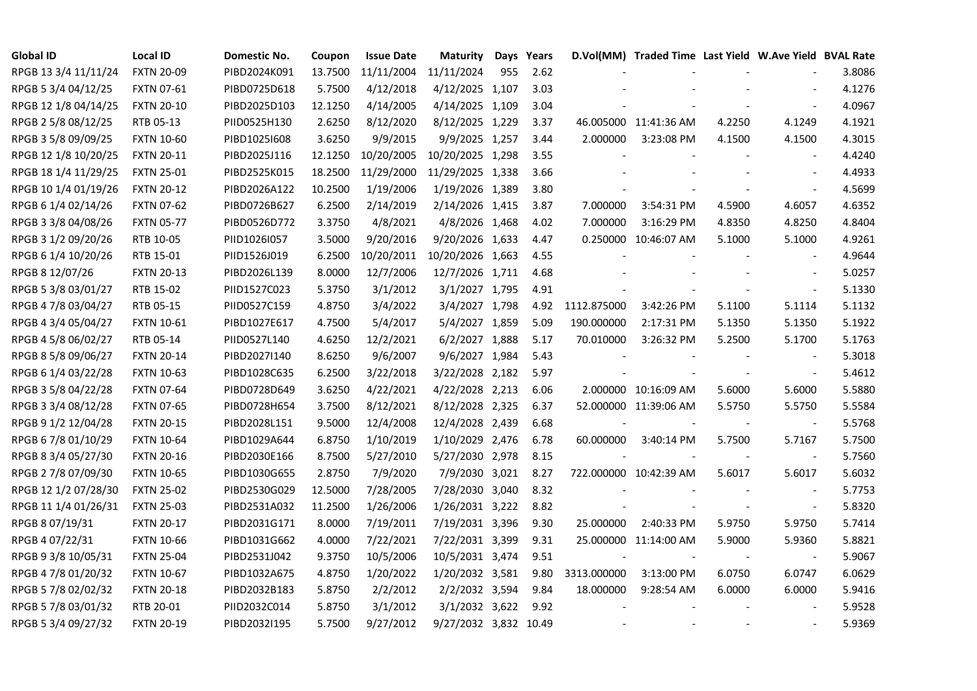| <b>Global ID</b>     | <b>Local ID</b>   | Domestic No. | Coupon  | <b>Issue Date</b> | Maturity              |     | Days Years |             | D.Vol(MM) Traded Time Last Yield W.Ave Yield BVAL Rate |        |                          |        |
|----------------------|-------------------|--------------|---------|-------------------|-----------------------|-----|------------|-------------|--------------------------------------------------------|--------|--------------------------|--------|
| RPGB 13 3/4 11/11/24 | <b>FXTN 20-09</b> | PIBD2024K091 | 13.7500 | 11/11/2004        | 11/11/2024            | 955 | 2.62       |             |                                                        |        |                          | 3.8086 |
| RPGB 5 3/4 04/12/25  | <b>FXTN 07-61</b> | PIBD0725D618 | 5.7500  | 4/12/2018         | 4/12/2025 1,107       |     | 3.03       |             |                                                        |        |                          | 4.1276 |
| RPGB 12 1/8 04/14/25 | <b>FXTN 20-10</b> | PIBD2025D103 | 12.1250 | 4/14/2005         | 4/14/2025 1,109       |     | 3.04       |             |                                                        |        | $\overline{\phantom{a}}$ | 4.0967 |
| RPGB 2 5/8 08/12/25  | RTB 05-13         | PIID0525H130 | 2.6250  | 8/12/2020         | 8/12/2025 1,229       |     | 3.37       |             | 46.005000 11:41:36 AM                                  | 4.2250 | 4.1249                   | 4.1921 |
| RPGB 3 5/8 09/09/25  | <b>FXTN 10-60</b> | PIBD10251608 | 3.6250  | 9/9/2015          | 9/9/2025 1,257        |     | 3.44       | 2.000000    | 3:23:08 PM                                             | 4.1500 | 4.1500                   | 4.3015 |
| RPGB 12 1/8 10/20/25 | <b>FXTN 20-11</b> | PIBD2025J116 | 12.1250 | 10/20/2005        | 10/20/2025 1,298      |     | 3.55       |             |                                                        |        | $\blacksquare$           | 4.4240 |
| RPGB 18 1/4 11/29/25 | <b>FXTN 25-01</b> | PIBD2525K015 | 18.2500 | 11/29/2000        | 11/29/2025 1,338      |     | 3.66       |             |                                                        |        | $\overline{\phantom{a}}$ | 4.4933 |
| RPGB 10 1/4 01/19/26 | <b>FXTN 20-12</b> | PIBD2026A122 | 10.2500 | 1/19/2006         | 1/19/2026 1,389       |     | 3.80       |             |                                                        |        | $\sim$                   | 4.5699 |
| RPGB 6 1/4 02/14/26  | <b>FXTN 07-62</b> | PIBD0726B627 | 6.2500  | 2/14/2019         | 2/14/2026 1,415       |     | 3.87       | 7.000000    | 3:54:31 PM                                             | 4.5900 | 4.6057                   | 4.6352 |
| RPGB 3 3/8 04/08/26  | <b>FXTN 05-77</b> | PIBD0526D772 | 3.3750  | 4/8/2021          | 4/8/2026 1,468        |     | 4.02       | 7.000000    | 3:16:29 PM                                             | 4.8350 | 4.8250                   | 4.8404 |
| RPGB 3 1/2 09/20/26  | RTB 10-05         | PIID1026I057 | 3.5000  | 9/20/2016         | 9/20/2026 1,633       |     | 4.47       |             | 0.250000 10:46:07 AM                                   | 5.1000 | 5.1000                   | 4.9261 |
| RPGB 6 1/4 10/20/26  | RTB 15-01         | PIID1526J019 | 6.2500  | 10/20/2011        | 10/20/2026 1,663      |     | 4.55       |             |                                                        |        | $\blacksquare$           | 4.9644 |
| RPGB 8 12/07/26      | <b>FXTN 20-13</b> | PIBD2026L139 | 8.0000  | 12/7/2006         | 12/7/2026 1,711       |     | 4.68       |             |                                                        |        |                          | 5.0257 |
| RPGB 5 3/8 03/01/27  | RTB 15-02         | PIID1527C023 | 5.3750  | 3/1/2012          | 3/1/2027 1,795        |     | 4.91       |             |                                                        |        | $\blacksquare$           | 5.1330 |
| RPGB 4 7/8 03/04/27  | RTB 05-15         | PIID0527C159 | 4.8750  | 3/4/2022          | 3/4/2027 1,798        |     | 4.92       | 1112.875000 | 3:42:26 PM                                             | 5.1100 | 5.1114                   | 5.1132 |
| RPGB 4 3/4 05/04/27  | FXTN 10-61        | PIBD1027E617 | 4.7500  | 5/4/2017          | 5/4/2027 1,859        |     | 5.09       | 190.000000  | 2:17:31 PM                                             | 5.1350 | 5.1350                   | 5.1922 |
| RPGB 4 5/8 06/02/27  | RTB 05-14         | PIID0527L140 | 4.6250  | 12/2/2021         | 6/2/2027 1,888        |     | 5.17       | 70.010000   | 3:26:32 PM                                             | 5.2500 | 5.1700                   | 5.1763 |
| RPGB 8 5/8 09/06/27  | <b>FXTN 20-14</b> | PIBD2027I140 | 8.6250  | 9/6/2007          | 9/6/2027 1,984        |     | 5.43       |             |                                                        |        | $\overline{\phantom{a}}$ | 5.3018 |
| RPGB 6 1/4 03/22/28  | <b>FXTN 10-63</b> | PIBD1028C635 | 6.2500  | 3/22/2018         | 3/22/2028 2,182       |     | 5.97       |             |                                                        |        | $\blacksquare$           | 5.4612 |
| RPGB 3 5/8 04/22/28  | <b>FXTN 07-64</b> | PIBD0728D649 | 3.6250  | 4/22/2021         | 4/22/2028 2,213       |     | 6.06       |             | 2.000000 10:16:09 AM                                   | 5.6000 | 5.6000                   | 5.5880 |
| RPGB 3 3/4 08/12/28  | <b>FXTN 07-65</b> | PIBD0728H654 | 3.7500  | 8/12/2021         | 8/12/2028 2,325       |     | 6.37       |             | 52.000000 11:39:06 AM                                  | 5.5750 | 5.5750                   | 5.5584 |
| RPGB 9 1/2 12/04/28  | <b>FXTN 20-15</b> | PIBD2028L151 | 9.5000  | 12/4/2008         | 12/4/2028 2,439       |     | 6.68       |             |                                                        |        | $\overline{\phantom{a}}$ | 5.5768 |
| RPGB 67/8 01/10/29   | <b>FXTN 10-64</b> | PIBD1029A644 | 6.8750  | 1/10/2019         | 1/10/2029 2,476       |     | 6.78       | 60.000000   | 3:40:14 PM                                             | 5.7500 | 5.7167                   | 5.7500 |
| RPGB 8 3/4 05/27/30  | <b>FXTN 20-16</b> | PIBD2030E166 | 8.7500  | 5/27/2010         | 5/27/2030 2,978       |     | 8.15       |             |                                                        |        | $\overline{\phantom{a}}$ | 5.7560 |
| RPGB 2 7/8 07/09/30  | <b>FXTN 10-65</b> | PIBD1030G655 | 2.8750  | 7/9/2020          | 7/9/2030 3,021        |     | 8.27       |             | 722.000000 10:42:39 AM                                 | 5.6017 | 5.6017                   | 5.6032 |
| RPGB 12 1/2 07/28/30 | <b>FXTN 25-02</b> | PIBD2530G029 | 12.5000 | 7/28/2005         | 7/28/2030 3,040       |     | 8.32       |             |                                                        |        | $\blacksquare$           | 5.7753 |
| RPGB 11 1/4 01/26/31 | <b>FXTN 25-03</b> | PIBD2531A032 | 11.2500 | 1/26/2006         | 1/26/2031 3,222       |     | 8.82       |             |                                                        |        | $\blacksquare$           | 5.8320 |
| RPGB 8 07/19/31      | <b>FXTN 20-17</b> | PIBD2031G171 | 8.0000  | 7/19/2011         | 7/19/2031 3,396       |     | 9.30       | 25.000000   | 2:40:33 PM                                             | 5.9750 | 5.9750                   | 5.7414 |
| RPGB 4 07/22/31      | <b>FXTN 10-66</b> | PIBD1031G662 | 4.0000  | 7/22/2021         | 7/22/2031 3,399       |     | 9.31       |             | 25.000000 11:14:00 AM                                  | 5.9000 | 5.9360                   | 5.8821 |
| RPGB 9 3/8 10/05/31  | <b>FXTN 25-04</b> | PIBD2531J042 | 9.3750  | 10/5/2006         | 10/5/2031 3,474       |     | 9.51       |             |                                                        |        |                          | 5.9067 |
| RPGB 4 7/8 01/20/32  | <b>FXTN 10-67</b> | PIBD1032A675 | 4.8750  | 1/20/2022         | 1/20/2032 3,581       |     | 9.80       | 3313.000000 | 3:13:00 PM                                             | 6.0750 | 6.0747                   | 6.0629 |
| RPGB 5 7/8 02/02/32  | <b>FXTN 20-18</b> | PIBD2032B183 | 5.8750  | 2/2/2012          | 2/2/2032 3,594        |     | 9.84       | 18.000000   | 9:28:54 AM                                             | 6.0000 | 6.0000                   | 5.9416 |
| RPGB 5 7/8 03/01/32  | RTB 20-01         | PIID2032C014 | 5.8750  | 3/1/2012          | 3/1/2032 3,622        |     | 9.92       |             |                                                        |        |                          | 5.9528 |
| RPGB 5 3/4 09/27/32  | <b>FXTN 20-19</b> | PIBD2032I195 | 5.7500  | 9/27/2012         | 9/27/2032 3,832 10.49 |     |            |             |                                                        |        | $\sim$                   | 5.9369 |